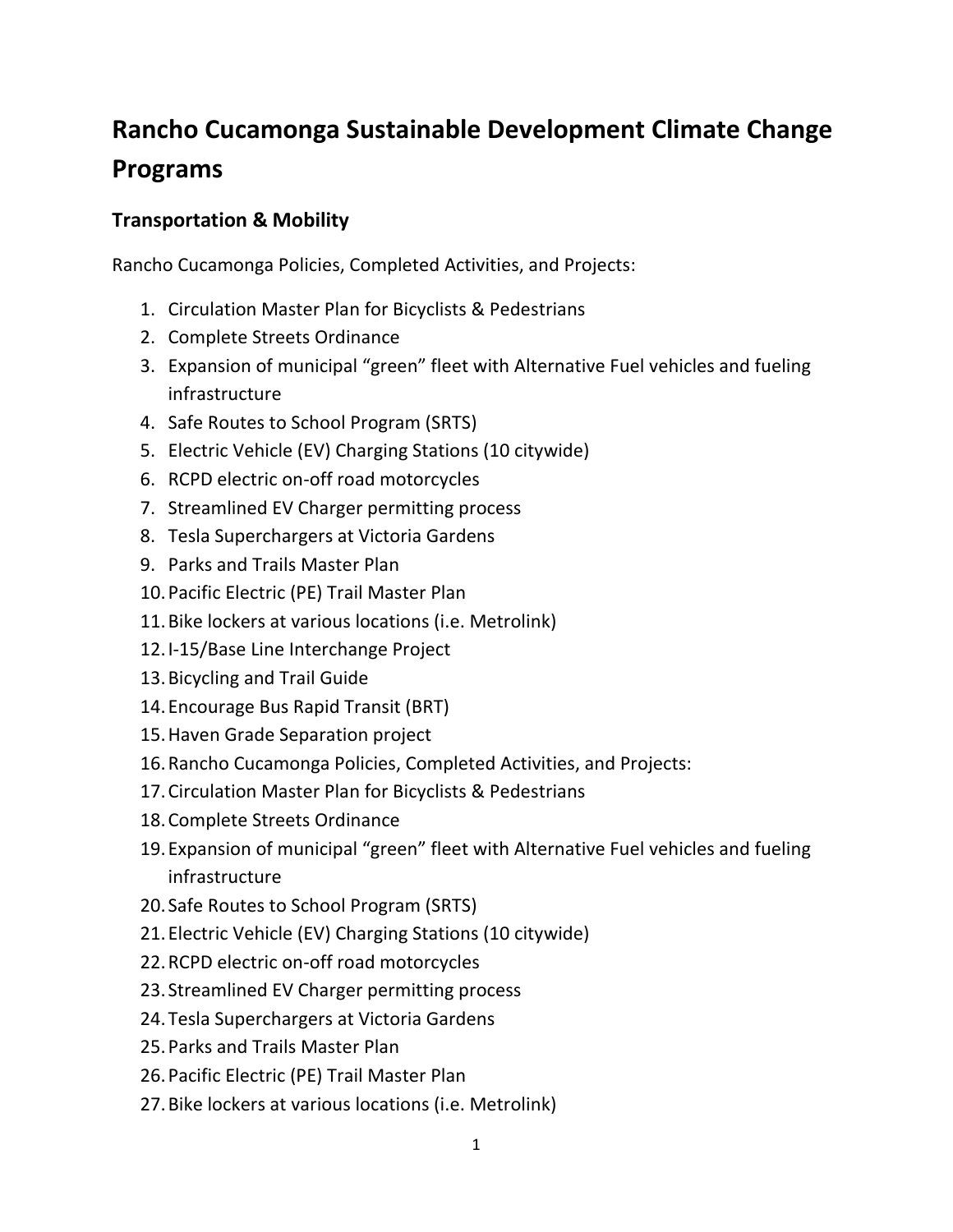## **Rancho Cucamonga Sustainable Development Climate Change Programs**

## **Transportation & Mobility**

Rancho Cucamonga Policies, Completed Activities, and Projects:

- 1. Circulation Master Plan for Bicyclists & Pedestrians
- 2. Complete Streets Ordinance
- 3. Expansion of municipal "green" fleet with Alternative Fuel vehicles and fueling infrastructure
- 4. Safe Routes to School Program (SRTS)
- 5. Electric Vehicle (EV) Charging Stations (10 citywide)
- 6. RCPD electric on-off road motorcycles
- 7. Streamlined EV Charger permitting process
- 8. Tesla Superchargers at Victoria Gardens
- 9. Parks and Trails Master Plan
- 10.Pacific Electric (PE) Trail Master Plan
- 11.Bike lockers at various locations (i.e. Metrolink)
- 12.I-15/Base Line Interchange Project
- 13.Bicycling and Trail Guide
- 14.Encourage Bus Rapid Transit (BRT)
- 15.Haven Grade Separation project
- 16.Rancho Cucamonga Policies, Completed Activities, and Projects:
- 17.Circulation Master Plan for Bicyclists & Pedestrians
- 18.Complete Streets Ordinance
- 19.Expansion of municipal "green" fleet with Alternative Fuel vehicles and fueling infrastructure
- 20. Safe Routes to School Program (SRTS)
- 21.Electric Vehicle (EV) Charging Stations (10 citywide)
- 22.RCPD electric on-off road motorcycles
- 23. Streamlined EV Charger permitting process
- 24.Tesla Superchargers at Victoria Gardens
- 25.Parks and Trails Master Plan
- 26.Pacific Electric (PE) Trail Master Plan
- 27.Bike lockers at various locations (i.e. Metrolink)